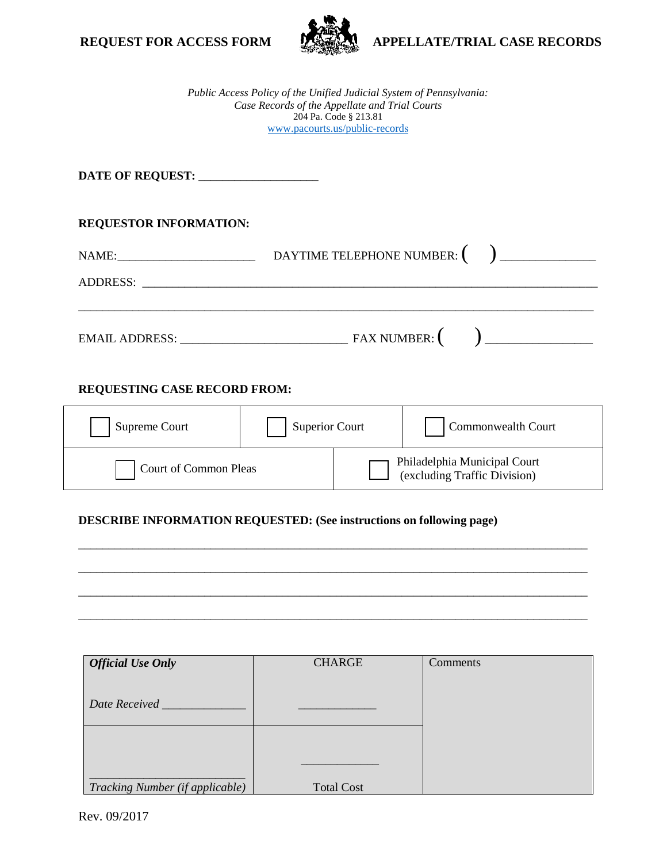



**REQUEST FOR ACCESS FORM <b>APPELLATE/TRIAL CASE RECORDS** 

*Public Access Policy of the Unified Judicial System of Pennsylvania: Case Records of the Appellate and Trial Courts*  204 Pa. Code § 213.81 [www.pacourts.us/public-record](http://www.pacourts.us/public-record-policies)s

**DATE OF REQUEST: \_\_\_\_\_\_\_\_\_\_\_\_\_\_\_\_\_\_\_\_** 

# **REQUESTOR INFORMATION:**

| NAME:<br><u> 1980 - Jan Barbarat, prima politik (</u> | DAYTIME TELEPHONE NUMBER: (                                                                                          |  |
|-------------------------------------------------------|----------------------------------------------------------------------------------------------------------------------|--|
| <b>ADDRESS:</b>                                       | <u> 1980 - Jan Barbarat, martin da shekara 1980 - An tsa a tsa a tsa a tsa a tsa a tsa a tsa a tsa a tsa a tsa a</u> |  |
|                                                       |                                                                                                                      |  |
| <b>EMAIL ADDRESS:</b>                                 | FAX NUMBER:                                                                                                          |  |

# **REQUESTING CASE RECORD FROM:**

| Supreme Court         | <b>Superior Court</b> |                                                              | Commonwealth Court |
|-----------------------|-----------------------|--------------------------------------------------------------|--------------------|
| Court of Common Pleas |                       | Philadelphia Municipal Court<br>(excluding Traffic Division) |                    |

\_\_\_\_\_\_\_\_\_\_\_\_\_\_\_\_\_\_\_\_\_\_\_\_\_\_\_\_\_\_\_\_\_\_\_\_\_\_\_\_\_\_\_\_\_\_\_\_\_\_\_\_\_\_\_\_\_\_\_\_\_\_\_\_\_\_\_\_\_\_\_\_\_\_\_\_\_\_\_\_\_\_\_\_\_

\_\_\_\_\_\_\_\_\_\_\_\_\_\_\_\_\_\_\_\_\_\_\_\_\_\_\_\_\_\_\_\_\_\_\_\_\_\_\_\_\_\_\_\_\_\_\_\_\_\_\_\_\_\_\_\_\_\_\_\_\_\_\_\_\_\_\_\_\_\_\_\_\_\_\_\_\_\_\_\_\_\_\_\_\_

\_\_\_\_\_\_\_\_\_\_\_\_\_\_\_\_\_\_\_\_\_\_\_\_\_\_\_\_\_\_\_\_\_\_\_\_\_\_\_\_\_\_\_\_\_\_\_\_\_\_\_\_\_\_\_\_\_\_\_\_\_\_\_\_\_\_\_\_\_\_\_\_\_\_\_\_\_\_\_\_\_\_\_\_\_

\_\_\_\_\_\_\_\_\_\_\_\_\_\_\_\_\_\_\_\_\_\_\_\_\_\_\_\_\_\_\_\_\_\_\_\_\_\_\_\_\_\_\_\_\_\_\_\_\_\_\_\_\_\_\_\_\_\_\_\_\_\_\_\_\_\_\_\_\_\_\_\_\_\_\_\_\_\_\_\_\_\_\_\_\_

# **DESCRIBE INFORMATION REQUESTED: (See instructions on following page)**

| <b>Official Use Only</b>        | <b>CHARGE</b>     | Comments |
|---------------------------------|-------------------|----------|
| Date Received                   |                   |          |
|                                 |                   |          |
| Tracking Number (if applicable) | <b>Total Cost</b> |          |